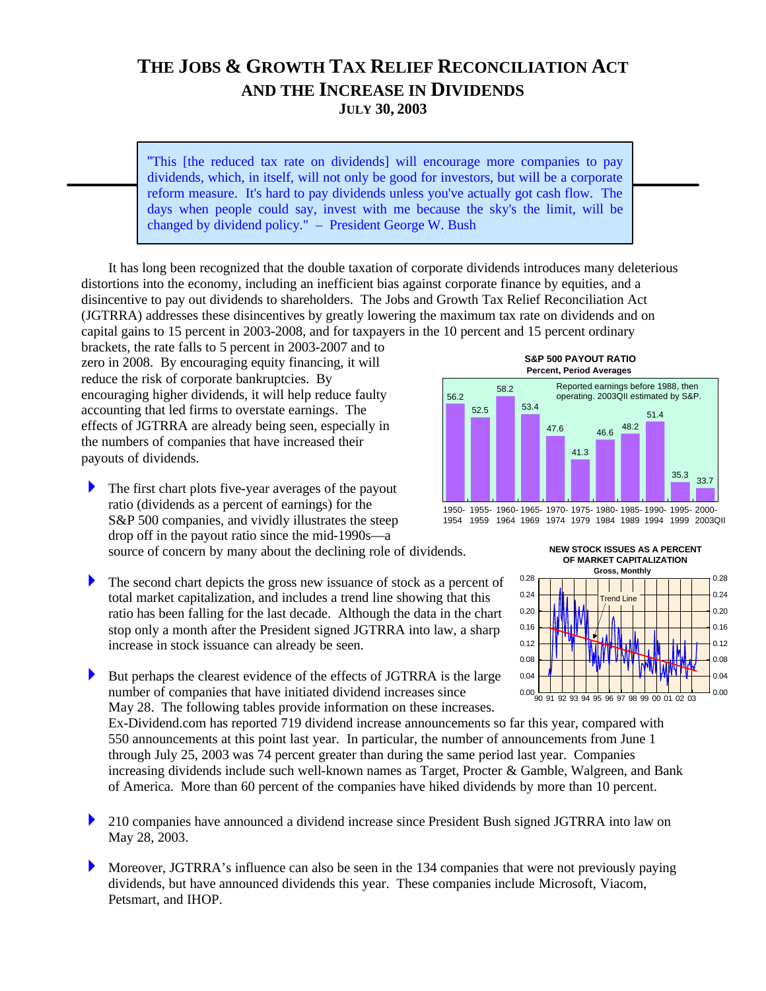## **THE JOBS & GROWTH TAX RELIEF RECONCILIATION ACT AND THE INCREASE IN DIVIDENDS JULY 30, 2003**

"This [the reduced tax rate on dividends] will encourage more companies to pay dividends, which, in itself, will not only be good for investors, but will be a corporate reform measure. It's hard to pay dividends unless you've actually got cash flow. The days when people could say, invest with me because the sky's the limit, will be changed by dividend policy." – President George W. Bush

It has long been recognized that the double taxation of corporate dividends introduces many deleterious distortions into the economy, including an inefficient bias against corporate finance by equities, and a disincentive to pay out dividends to shareholders. The Jobs and Growth Tax Relief Reconciliation Act (JGTRRA) addresses these disincentives by greatly lowering the maximum tax rate on dividends and on capital gains to 15 percent in 2003-2008, and for taxpayers in the 10 percent and 15 percent ordinary

brackets, the rate falls to 5 percent in 2003-2007 and to zero in 2008. By encouraging equity financing, it will reduce the risk of corporate bankruptcies. By encouraging higher dividends, it will help reduce faulty accounting that led firms to overstate earnings. The effects of JGTRRA are already being seen, especially in the numbers of companies that have increased their payouts of dividends.

- The first chart plots five-year averages of the payout ratio (dividends as a percent of earnings) for the S&P 500 companies, and vividly illustrates the steep drop off in the payout ratio since the mid-1990s—a source of concern by many about the declining role of dividends.
- $\blacktriangleright$  The second chart depicts the gross new issuance of stock as a percent of total market capitalization, and includes a trend line showing that this ratio has been falling for the last decade. Although the data in the chart stop only a month after the President signed JGTRRA into law, a sharp increase in stock issuance can already be seen.
- 4 But perhaps the clearest evidence of the effects of JGTRRA is the large number of companies that have initiated dividend increases since May 28. The following tables provide information on these increases.

Ex-Dividend.com has reported 719 dividend increase announcements so far this year, compared with 550 announcements at this point last year. In particular, the number of announcements from June 1 through July 25, 2003 was 74 percent greater than during the same period last year. Companies increasing dividends include such well-known names as Target, Procter & Gamble, Walgreen, and Bank of America. More than 60 percent of the companies have hiked dividends by more than 10 percent.

- <sup>2</sup> 210 companies have announced a dividend increase since President Bush signed JGTRRA into law on May 28, 2003.
- Moreover, JGTRRA's influence can also be seen in the 134 companies that were not previously paying dividends, but have announced dividends this year. These companies include Microsoft, Viacom, Petsmart, and IHOP.

**S&P 500 PAYOUT RATIO Percent, Period Averages**



1954 1959 1964 1969 1974 1979 1984 1989 1994 1999 2003QII